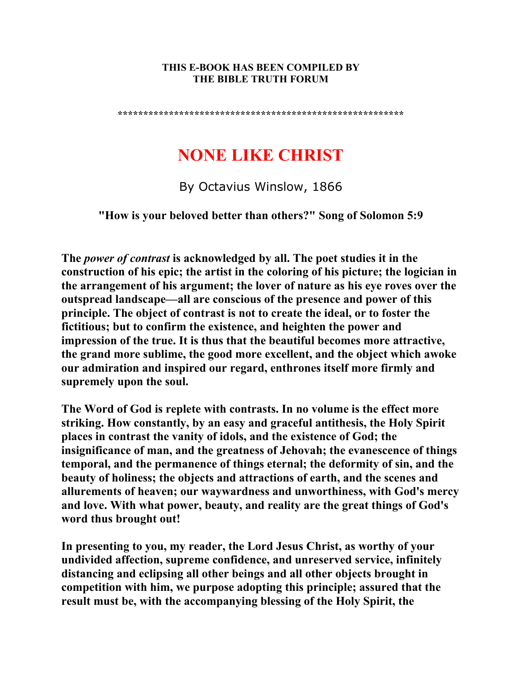#### **THIS E-BOOK HAS BEEN COMPILED BY THE BIBLE TRUTH FORUM**

**\*\*\*\*\*\*\*\*\*\*\*\*\*\*\*\*\*\*\*\*\*\*\*\*\*\*\*\*\*\*\*\*\*\*\*\*\*\*\*\*\*\*\*\*\*\*\*\*\*\*\*\*\*\*\*\*** 

# **NONE LIKE CHRIST**

By Octavius Winslow, 1866

**"How is your beloved better than others?" Song of Solomon 5:9** 

**The** *power of contrast* **is acknowledged by all. The poet studies it in the construction of his epic; the artist in the coloring of his picture; the logician in the arrangement of his argument; the lover of nature as his eye roves over the outspread landscape—all are conscious of the presence and power of this principle. The object of contrast is not to create the ideal, or to foster the fictitious; but to confirm the existence, and heighten the power and impression of the true. It is thus that the beautiful becomes more attractive, the grand more sublime, the good more excellent, and the object which awoke our admiration and inspired our regard, enthrones itself more firmly and supremely upon the soul.** 

**The Word of God is replete with contrasts. In no volume is the effect more striking. How constantly, by an easy and graceful antithesis, the Holy Spirit places in contrast the vanity of idols, and the existence of God; the insignificance of man, and the greatness of Jehovah; the evanescence of things temporal, and the permanence of things eternal; the deformity of sin, and the beauty of holiness; the objects and attractions of earth, and the scenes and allurements of heaven; our waywardness and unworthiness, with God's mercy and love. With what power, beauty, and reality are the great things of God's word thus brought out!** 

**In presenting to you, my reader, the Lord Jesus Christ, as worthy of your undivided affection, supreme confidence, and unreserved service, infinitely distancing and eclipsing all other beings and all other objects brought in competition with him, we purpose adopting this principle; assured that the result must be, with the accompanying blessing of the Holy Spirit, the**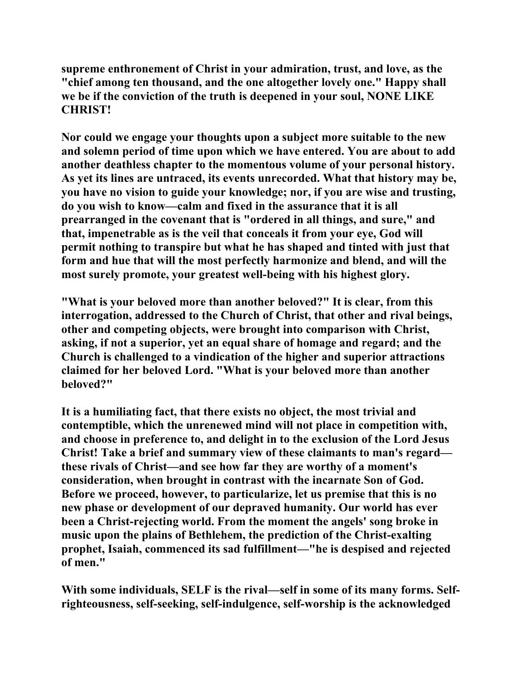**supreme enthronement of Christ in your admiration, trust, and love, as the "chief among ten thousand, and the one altogether lovely one." Happy shall we be if the conviction of the truth is deepened in your soul, NONE LIKE CHRIST!** 

**Nor could we engage your thoughts upon a subject more suitable to the new and solemn period of time upon which we have entered. You are about to add another deathless chapter to the momentous volume of your personal history. As yet its lines are untraced, its events unrecorded. What that history may be, you have no vision to guide your knowledge; nor, if you are wise and trusting, do you wish to know—calm and fixed in the assurance that it is all prearranged in the covenant that is "ordered in all things, and sure," and that, impenetrable as is the veil that conceals it from your eye, God will permit nothing to transpire but what he has shaped and tinted with just that form and hue that will the most perfectly harmonize and blend, and will the most surely promote, your greatest well-being with his highest glory.** 

**"What is your beloved more than another beloved?" It is clear, from this interrogation, addressed to the Church of Christ, that other and rival beings, other and competing objects, were brought into comparison with Christ, asking, if not a superior, yet an equal share of homage and regard; and the Church is challenged to a vindication of the higher and superior attractions claimed for her beloved Lord. "What is your beloved more than another beloved?"** 

**It is a humiliating fact, that there exists no object, the most trivial and contemptible, which the unrenewed mind will not place in competition with, and choose in preference to, and delight in to the exclusion of the Lord Jesus Christ! Take a brief and summary view of these claimants to man's regard these rivals of Christ—and see how far they are worthy of a moment's consideration, when brought in contrast with the incarnate Son of God. Before we proceed, however, to particularize, let us premise that this is no new phase or development of our depraved humanity. Our world has ever been a Christ-rejecting world. From the moment the angels' song broke in music upon the plains of Bethlehem, the prediction of the Christ-exalting prophet, Isaiah, commenced its sad fulfillment—"he is despised and rejected of men."** 

**With some individuals, SELF is the rival—self in some of its many forms. Selfrighteousness, self-seeking, self-indulgence, self-worship is the acknowledged**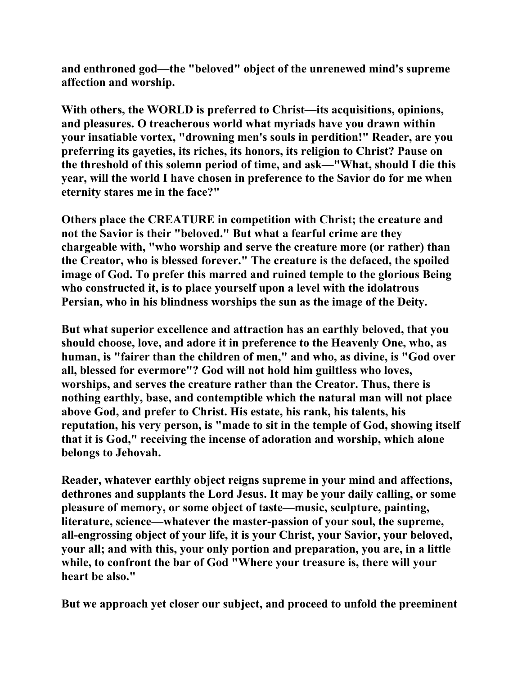**and enthroned god—the "beloved" object of the unrenewed mind's supreme affection and worship.** 

**With others, the WORLD is preferred to Christ—its acquisitions, opinions, and pleasures. O treacherous world what myriads have you drawn within your insatiable vortex, "drowning men's souls in perdition!" Reader, are you preferring its gayeties, its riches, its honors, its religion to Christ? Pause on the threshold of this solemn period of time, and ask—"What, should I die this year, will the world I have chosen in preference to the Savior do for me when eternity stares me in the face?"** 

**Others place the CREATURE in competition with Christ; the creature and not the Savior is their "beloved." But what a fearful crime are they chargeable with, "who worship and serve the creature more (or rather) than the Creator, who is blessed forever." The creature is the defaced, the spoiled image of God. To prefer this marred and ruined temple to the glorious Being who constructed it, is to place yourself upon a level with the idolatrous Persian, who in his blindness worships the sun as the image of the Deity.** 

**But what superior excellence and attraction has an earthly beloved, that you should choose, love, and adore it in preference to the Heavenly One, who, as human, is "fairer than the children of men," and who, as divine, is "God over all, blessed for evermore"? God will not hold him guiltless who loves, worships, and serves the creature rather than the Creator. Thus, there is nothing earthly, base, and contemptible which the natural man will not place above God, and prefer to Christ. His estate, his rank, his talents, his reputation, his very person, is "made to sit in the temple of God, showing itself that it is God," receiving the incense of adoration and worship, which alone belongs to Jehovah.** 

**Reader, whatever earthly object reigns supreme in your mind and affections, dethrones and supplants the Lord Jesus. It may be your daily calling, or some pleasure of memory, or some object of taste—music, sculpture, painting, literature, science—whatever the master-passion of your soul, the supreme, all-engrossing object of your life, it is your Christ, your Savior, your beloved, your all; and with this, your only portion and preparation, you are, in a little while, to confront the bar of God "Where your treasure is, there will your heart be also."** 

**But we approach yet closer our subject, and proceed to unfold the preeminent**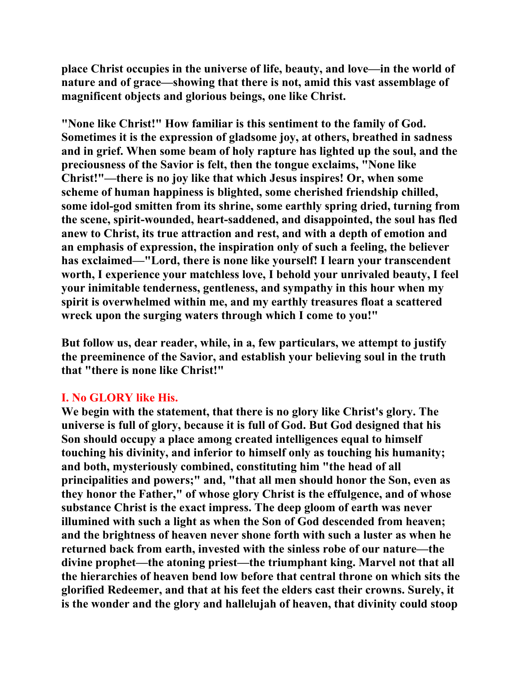**place Christ occupies in the universe of life, beauty, and love—in the world of nature and of grace—showing that there is not, amid this vast assemblage of magnificent objects and glorious beings, one like Christ.** 

**"None like Christ!" How familiar is this sentiment to the family of God. Sometimes it is the expression of gladsome joy, at others, breathed in sadness and in grief. When some beam of holy rapture has lighted up the soul, and the preciousness of the Savior is felt, then the tongue exclaims, "None like Christ!"—there is no joy like that which Jesus inspires! Or, when some scheme of human happiness is blighted, some cherished friendship chilled, some idol-god smitten from its shrine, some earthly spring dried, turning from the scene, spirit-wounded, heart-saddened, and disappointed, the soul has fled anew to Christ, its true attraction and rest, and with a depth of emotion and an emphasis of expression, the inspiration only of such a feeling, the believer has exclaimed—"Lord, there is none like yourself! I learn your transcendent worth, I experience your matchless love, I behold your unrivaled beauty, I feel your inimitable tenderness, gentleness, and sympathy in this hour when my spirit is overwhelmed within me, and my earthly treasures float a scattered wreck upon the surging waters through which I come to you!"** 

**But follow us, dear reader, while, in a, few particulars, we attempt to justify the preeminence of the Savior, and establish your believing soul in the truth that "there is none like Christ!"** 

## **I. No GLORY like His.**

**We begin with the statement, that there is no glory like Christ's glory. The universe is full of glory, because it is full of God. But God designed that his Son should occupy a place among created intelligences equal to himself touching his divinity, and inferior to himself only as touching his humanity; and both, mysteriously combined, constituting him "the head of all principalities and powers;" and, "that all men should honor the Son, even as they honor the Father," of whose glory Christ is the effulgence, and of whose substance Christ is the exact impress. The deep gloom of earth was never illumined with such a light as when the Son of God descended from heaven; and the brightness of heaven never shone forth with such a luster as when he returned back from earth, invested with the sinless robe of our nature—the divine prophet—the atoning priest—the triumphant king. Marvel not that all the hierarchies of heaven bend low before that central throne on which sits the glorified Redeemer, and that at his feet the elders cast their crowns. Surely, it is the wonder and the glory and hallelujah of heaven, that divinity could stoop**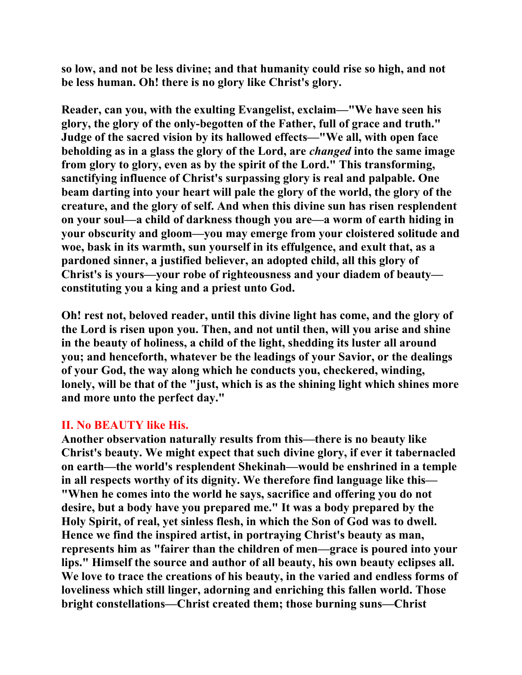**so low, and not be less divine; and that humanity could rise so high, and not be less human. Oh! there is no glory like Christ's glory.** 

**Reader, can you, with the exulting Evangelist, exclaim—"We have seen his glory, the glory of the only-begotten of the Father, full of grace and truth." Judge of the sacred vision by its hallowed effects—"We all, with open face beholding as in a glass the glory of the Lord, are** *changed* **into the same image from glory to glory, even as by the spirit of the Lord." This transforming, sanctifying influence of Christ's surpassing glory is real and palpable. One beam darting into your heart will pale the glory of the world, the glory of the creature, and the glory of self. And when this divine sun has risen resplendent on your soul—a child of darkness though you are—a worm of earth hiding in your obscurity and gloom—you may emerge from your cloistered solitude and woe, bask in its warmth, sun yourself in its effulgence, and exult that, as a pardoned sinner, a justified believer, an adopted child, all this glory of Christ's is yours—your robe of righteousness and your diadem of beauty constituting you a king and a priest unto God.** 

**Oh! rest not, beloved reader, until this divine light has come, and the glory of the Lord is risen upon you. Then, and not until then, will you arise and shine in the beauty of holiness, a child of the light, shedding its luster all around you; and henceforth, whatever be the leadings of your Savior, or the dealings of your God, the way along which he conducts you, checkered, winding, lonely, will be that of the "just, which is as the shining light which shines more and more unto the perfect day."** 

## **II. No BEAUTY like His.**

**Another observation naturally results from this—there is no beauty like Christ's beauty. We might expect that such divine glory, if ever it tabernacled on earth—the world's resplendent Shekinah—would be enshrined in a temple in all respects worthy of its dignity. We therefore find language like this— "When he comes into the world he says, sacrifice and offering you do not desire, but a body have you prepared me." It was a body prepared by the Holy Spirit, of real, yet sinless flesh, in which the Son of God was to dwell. Hence we find the inspired artist, in portraying Christ's beauty as man, represents him as "fairer than the children of men—grace is poured into your lips." Himself the source and author of all beauty, his own beauty eclipses all. We love to trace the creations of his beauty, in the varied and endless forms of loveliness which still linger, adorning and enriching this fallen world. Those bright constellations—Christ created them; those burning suns—Christ**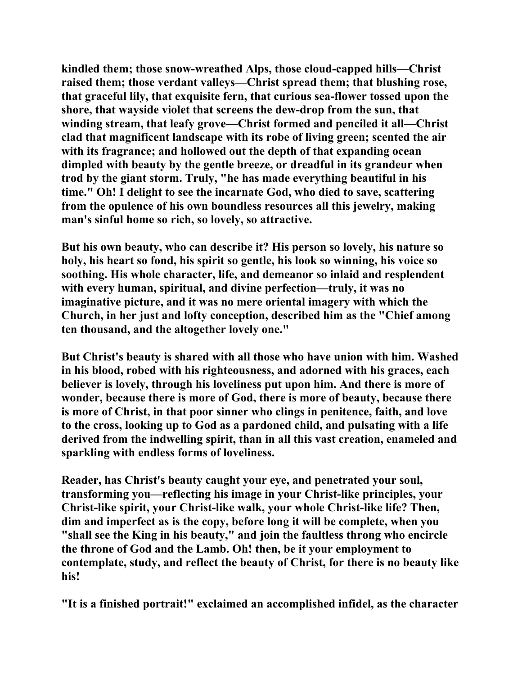**kindled them; those snow-wreathed Alps, those cloud-capped hills—Christ raised them; those verdant valleys—Christ spread them; that blushing rose, that graceful lily, that exquisite fern, that curious sea-flower tossed upon the shore, that wayside violet that screens the dew-drop from the sun, that winding stream, that leafy grove—Christ formed and penciled it all—Christ clad that magnificent landscape with its robe of living green; scented the air with its fragrance; and hollowed out the depth of that expanding ocean dimpled with beauty by the gentle breeze, or dreadful in its grandeur when trod by the giant storm. Truly, "he has made everything beautiful in his time." Oh! I delight to see the incarnate God, who died to save, scattering from the opulence of his own boundless resources all this jewelry, making man's sinful home so rich, so lovely, so attractive.** 

**But his own beauty, who can describe it? His person so lovely, his nature so holy, his heart so fond, his spirit so gentle, his look so winning, his voice so soothing. His whole character, life, and demeanor so inlaid and resplendent with every human, spiritual, and divine perfection—truly, it was no imaginative picture, and it was no mere oriental imagery with which the Church, in her just and lofty conception, described him as the "Chief among ten thousand, and the altogether lovely one."** 

**But Christ's beauty is shared with all those who have union with him. Washed in his blood, robed with his righteousness, and adorned with his graces, each believer is lovely, through his loveliness put upon him. And there is more of wonder, because there is more of God, there is more of beauty, because there is more of Christ, in that poor sinner who clings in penitence, faith, and love to the cross, looking up to God as a pardoned child, and pulsating with a life derived from the indwelling spirit, than in all this vast creation, enameled and sparkling with endless forms of loveliness.** 

**Reader, has Christ's beauty caught your eye, and penetrated your soul, transforming you—reflecting his image in your Christ-like principles, your Christ-like spirit, your Christ-like walk, your whole Christ-like life? Then, dim and imperfect as is the copy, before long it will be complete, when you "shall see the King in his beauty," and join the faultless throng who encircle the throne of God and the Lamb. Oh! then, be it your employment to contemplate, study, and reflect the beauty of Christ, for there is no beauty like his!** 

**"It is a finished portrait!" exclaimed an accomplished infidel, as the character**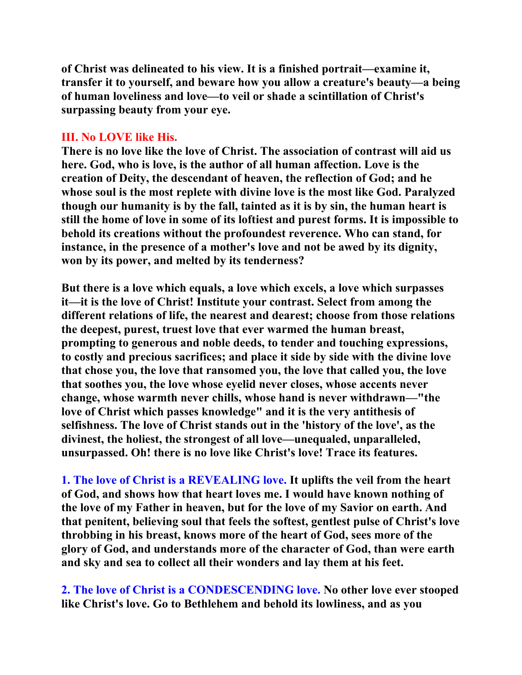**of Christ was delineated to his view. It is a finished portrait—examine it, transfer it to yourself, and beware how you allow a creature's beauty—a being of human loveliness and love—to veil or shade a scintillation of Christ's surpassing beauty from your eye.** 

## **III. No LOVE like His.**

**There is no love like the love of Christ. The association of contrast will aid us here. God, who is love, is the author of all human affection. Love is the creation of Deity, the descendant of heaven, the reflection of God; and he whose soul is the most replete with divine love is the most like God. Paralyzed though our humanity is by the fall, tainted as it is by sin, the human heart is still the home of love in some of its loftiest and purest forms. It is impossible to behold its creations without the profoundest reverence. Who can stand, for instance, in the presence of a mother's love and not be awed by its dignity, won by its power, and melted by its tenderness?** 

**But there is a love which equals, a love which excels, a love which surpasses it—it is the love of Christ! Institute your contrast. Select from among the different relations of life, the nearest and dearest; choose from those relations the deepest, purest, truest love that ever warmed the human breast, prompting to generous and noble deeds, to tender and touching expressions, to costly and precious sacrifices; and place it side by side with the divine love that chose you, the love that ransomed you, the love that called you, the love that soothes you, the love whose eyelid never closes, whose accents never change, whose warmth never chills, whose hand is never withdrawn—"the love of Christ which passes knowledge" and it is the very antithesis of selfishness. The love of Christ stands out in the 'history of the love', as the divinest, the holiest, the strongest of all love—unequaled, unparalleled, unsurpassed. Oh! there is no love like Christ's love! Trace its features.** 

**1. The love of Christ is a REVEALING love. It uplifts the veil from the heart of God, and shows how that heart loves me. I would have known nothing of the love of my Father in heaven, but for the love of my Savior on earth. And that penitent, believing soul that feels the softest, gentlest pulse of Christ's love throbbing in his breast, knows more of the heart of God, sees more of the glory of God, and understands more of the character of God, than were earth and sky and sea to collect all their wonders and lay them at his feet.** 

**2. The love of Christ is a CONDESCENDING love. No other love ever stooped like Christ's love. Go to Bethlehem and behold its lowliness, and as you**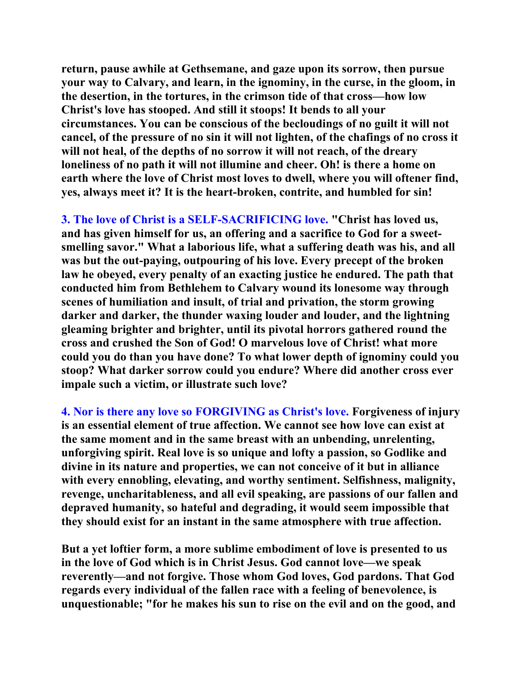**return, pause awhile at Gethsemane, and gaze upon its sorrow, then pursue your way to Calvary, and learn, in the ignominy, in the curse, in the gloom, in the desertion, in the tortures, in the crimson tide of that cross—how low Christ's love has stooped. And still it stoops! It bends to all your circumstances. You can be conscious of the becloudings of no guilt it will not cancel, of the pressure of no sin it will not lighten, of the chafings of no cross it will not heal, of the depths of no sorrow it will not reach, of the dreary loneliness of no path it will not illumine and cheer. Oh! is there a home on earth where the love of Christ most loves to dwell, where you will oftener find, yes, always meet it? It is the heart-broken, contrite, and humbled for sin!** 

**3. The love of Christ is a SELF-SACRIFICING love. "Christ has loved us, and has given himself for us, an offering and a sacrifice to God for a sweetsmelling savor." What a laborious life, what a suffering death was his, and all was but the out-paying, outpouring of his love. Every precept of the broken law he obeyed, every penalty of an exacting justice he endured. The path that conducted him from Bethlehem to Calvary wound its lonesome way through scenes of humiliation and insult, of trial and privation, the storm growing darker and darker, the thunder waxing louder and louder, and the lightning gleaming brighter and brighter, until its pivotal horrors gathered round the cross and crushed the Son of God! O marvelous love of Christ! what more could you do than you have done? To what lower depth of ignominy could you stoop? What darker sorrow could you endure? Where did another cross ever impale such a victim, or illustrate such love?** 

**4. Nor is there any love so FORGIVING as Christ's love. Forgiveness of injury is an essential element of true affection. We cannot see how love can exist at the same moment and in the same breast with an unbending, unrelenting, unforgiving spirit. Real love is so unique and lofty a passion, so Godlike and divine in its nature and properties, we can not conceive of it but in alliance with every ennobling, elevating, and worthy sentiment. Selfishness, malignity, revenge, uncharitableness, and all evil speaking, are passions of our fallen and depraved humanity, so hateful and degrading, it would seem impossible that they should exist for an instant in the same atmosphere with true affection.** 

**But a yet loftier form, a more sublime embodiment of love is presented to us in the love of God which is in Christ Jesus. God cannot love—we speak reverently—and not forgive. Those whom God loves, God pardons. That God regards every individual of the fallen race with a feeling of benevolence, is unquestionable; "for he makes his sun to rise on the evil and on the good, and**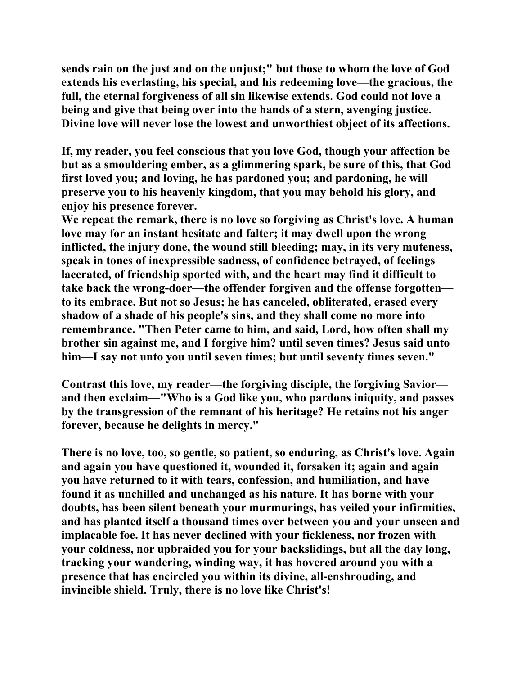**sends rain on the just and on the unjust;" but those to whom the love of God extends his everlasting, his special, and his redeeming love—the gracious, the full, the eternal forgiveness of all sin likewise extends. God could not love a being and give that being over into the hands of a stern, avenging justice. Divine love will never lose the lowest and unworthiest object of its affections.** 

**If, my reader, you feel conscious that you love God, though your affection be but as a smouldering ember, as a glimmering spark, be sure of this, that God first loved you; and loving, he has pardoned you; and pardoning, he will preserve you to his heavenly kingdom, that you may behold his glory, and enjoy his presence forever.** 

**We repeat the remark, there is no love so forgiving as Christ's love. A human love may for an instant hesitate and falter; it may dwell upon the wrong inflicted, the injury done, the wound still bleeding; may, in its very muteness, speak in tones of inexpressible sadness, of confidence betrayed, of feelings lacerated, of friendship sported with, and the heart may find it difficult to take back the wrong-doer—the offender forgiven and the offense forgotten to its embrace. But not so Jesus; he has canceled, obliterated, erased every shadow of a shade of his people's sins, and they shall come no more into remembrance. "Then Peter came to him, and said, Lord, how often shall my brother sin against me, and I forgive him? until seven times? Jesus said unto him—I say not unto you until seven times; but until seventy times seven."** 

**Contrast this love, my reader—the forgiving disciple, the forgiving Savior and then exclaim—"Who is a God like you, who pardons iniquity, and passes by the transgression of the remnant of his heritage? He retains not his anger forever, because he delights in mercy."** 

**There is no love, too, so gentle, so patient, so enduring, as Christ's love. Again and again you have questioned it, wounded it, forsaken it; again and again you have returned to it with tears, confession, and humiliation, and have found it as unchilled and unchanged as his nature. It has borne with your doubts, has been silent beneath your murmurings, has veiled your infirmities, and has planted itself a thousand times over between you and your unseen and implacable foe. It has never declined with your fickleness, nor frozen with your coldness, nor upbraided you for your backslidings, but all the day long, tracking your wandering, winding way, it has hovered around you with a presence that has encircled you within its divine, all-enshrouding, and invincible shield. Truly, there is no love like Christ's!**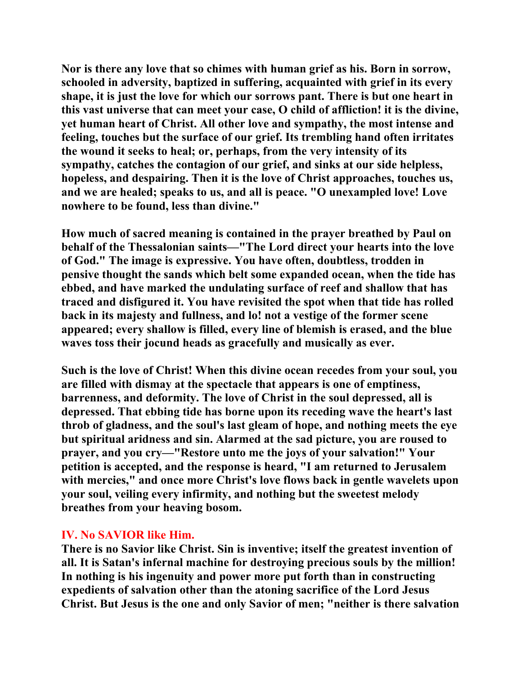**Nor is there any love that so chimes with human grief as his. Born in sorrow, schooled in adversity, baptized in suffering, acquainted with grief in its every shape, it is just the love for which our sorrows pant. There is but one heart in this vast universe that can meet your case, O child of affliction! it is the divine, yet human heart of Christ. All other love and sympathy, the most intense and feeling, touches but the surface of our grief. Its trembling hand often irritates the wound it seeks to heal; or, perhaps, from the very intensity of its sympathy, catches the contagion of our grief, and sinks at our side helpless, hopeless, and despairing. Then it is the love of Christ approaches, touches us, and we are healed; speaks to us, and all is peace. "O unexampled love! Love nowhere to be found, less than divine."** 

**How much of sacred meaning is contained in the prayer breathed by Paul on behalf of the Thessalonian saints—"The Lord direct your hearts into the love of God." The image is expressive. You have often, doubtless, trodden in pensive thought the sands which belt some expanded ocean, when the tide has ebbed, and have marked the undulating surface of reef and shallow that has traced and disfigured it. You have revisited the spot when that tide has rolled back in its majesty and fullness, and lo! not a vestige of the former scene appeared; every shallow is filled, every line of blemish is erased, and the blue waves toss their jocund heads as gracefully and musically as ever.** 

**Such is the love of Christ! When this divine ocean recedes from your soul, you are filled with dismay at the spectacle that appears is one of emptiness, barrenness, and deformity. The love of Christ in the soul depressed, all is depressed. That ebbing tide has borne upon its receding wave the heart's last throb of gladness, and the soul's last gleam of hope, and nothing meets the eye but spiritual aridness and sin. Alarmed at the sad picture, you are roused to prayer, and you cry—"Restore unto me the joys of your salvation!" Your petition is accepted, and the response is heard, "I am returned to Jerusalem with mercies," and once more Christ's love flows back in gentle wavelets upon your soul, veiling every infirmity, and nothing but the sweetest melody breathes from your heaving bosom.** 

### **IV. No SAVIOR like Him.**

**There is no Savior like Christ. Sin is inventive; itself the greatest invention of all. It is Satan's infernal machine for destroying precious souls by the million! In nothing is his ingenuity and power more put forth than in constructing expedients of salvation other than the atoning sacrifice of the Lord Jesus Christ. But Jesus is the one and only Savior of men; "neither is there salvation**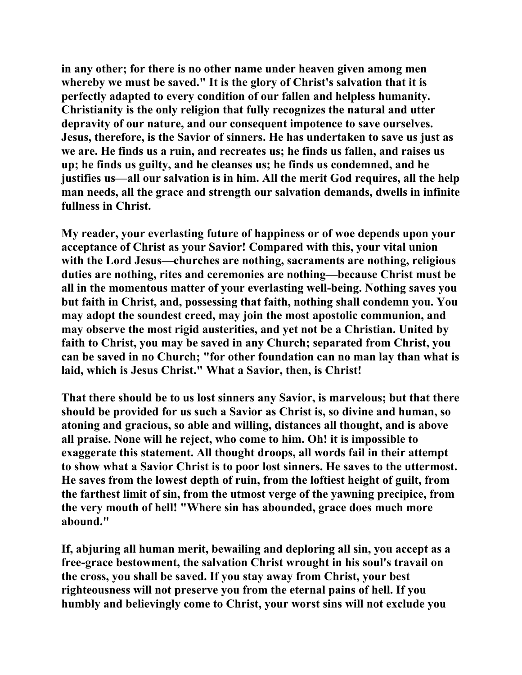**in any other; for there is no other name under heaven given among men whereby we must be saved." It is the glory of Christ's salvation that it is perfectly adapted to every condition of our fallen and helpless humanity. Christianity is the only religion that fully recognizes the natural and utter depravity of our nature, and our consequent impotence to save ourselves. Jesus, therefore, is the Savior of sinners. He has undertaken to save us just as we are. He finds us a ruin, and recreates us; he finds us fallen, and raises us up; he finds us guilty, and he cleanses us; he finds us condemned, and he justifies us—all our salvation is in him. All the merit God requires, all the help man needs, all the grace and strength our salvation demands, dwells in infinite fullness in Christ.** 

**My reader, your everlasting future of happiness or of woe depends upon your acceptance of Christ as your Savior! Compared with this, your vital union with the Lord Jesus—churches are nothing, sacraments are nothing, religious duties are nothing, rites and ceremonies are nothing—because Christ must be all in the momentous matter of your everlasting well-being. Nothing saves you but faith in Christ, and, possessing that faith, nothing shall condemn you. You may adopt the soundest creed, may join the most apostolic communion, and may observe the most rigid austerities, and yet not be a Christian. United by faith to Christ, you may be saved in any Church; separated from Christ, you can be saved in no Church; "for other foundation can no man lay than what is laid, which is Jesus Christ." What a Savior, then, is Christ!** 

**That there should be to us lost sinners any Savior, is marvelous; but that there should be provided for us such a Savior as Christ is, so divine and human, so atoning and gracious, so able and willing, distances all thought, and is above all praise. None will he reject, who come to him. Oh! it is impossible to exaggerate this statement. All thought droops, all words fail in their attempt to show what a Savior Christ is to poor lost sinners. He saves to the uttermost. He saves from the lowest depth of ruin, from the loftiest height of guilt, from the farthest limit of sin, from the utmost verge of the yawning precipice, from the very mouth of hell! "Where sin has abounded, grace does much more abound."** 

**If, abjuring all human merit, bewailing and deploring all sin, you accept as a free-grace bestowment, the salvation Christ wrought in his soul's travail on the cross, you shall be saved. If you stay away from Christ, your best righteousness will not preserve you from the eternal pains of hell. If you humbly and believingly come to Christ, your worst sins will not exclude you**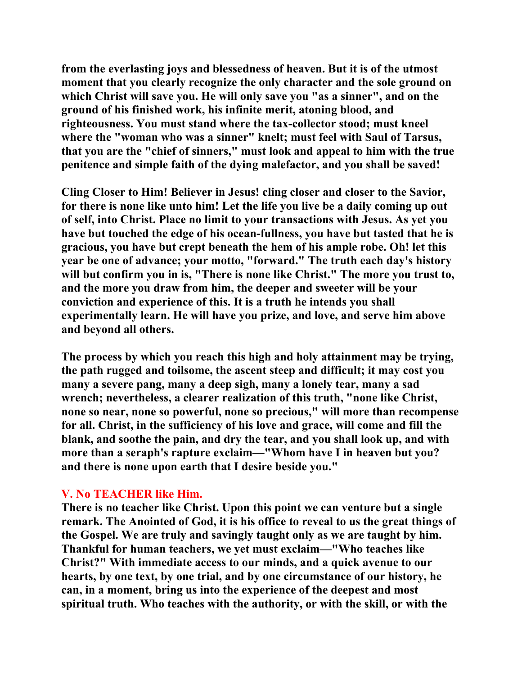**from the everlasting joys and blessedness of heaven. But it is of the utmost moment that you clearly recognize the only character and the sole ground on which Christ will save you. He will only save you "as a sinner", and on the ground of his finished work, his infinite merit, atoning blood, and righteousness. You must stand where the tax-collector stood; must kneel where the "woman who was a sinner" knelt; must feel with Saul of Tarsus, that you are the "chief of sinners," must look and appeal to him with the true penitence and simple faith of the dying malefactor, and you shall be saved!** 

**Cling Closer to Him! Believer in Jesus! cling closer and closer to the Savior, for there is none like unto him! Let the life you live be a daily coming up out of self, into Christ. Place no limit to your transactions with Jesus. As yet you have but touched the edge of his ocean-fullness, you have but tasted that he is gracious, you have but crept beneath the hem of his ample robe. Oh! let this year be one of advance; your motto, "forward." The truth each day's history will but confirm you in is, "There is none like Christ." The more you trust to, and the more you draw from him, the deeper and sweeter will be your conviction and experience of this. It is a truth he intends you shall experimentally learn. He will have you prize, and love, and serve him above and beyond all others.** 

**The process by which you reach this high and holy attainment may be trying, the path rugged and toilsome, the ascent steep and difficult; it may cost you many a severe pang, many a deep sigh, many a lonely tear, many a sad wrench; nevertheless, a clearer realization of this truth, "none like Christ, none so near, none so powerful, none so precious," will more than recompense for all. Christ, in the sufficiency of his love and grace, will come and fill the blank, and soothe the pain, and dry the tear, and you shall look up, and with more than a seraph's rapture exclaim—"Whom have I in heaven but you? and there is none upon earth that I desire beside you."** 

### **V. No TEACHER like Him.**

**There is no teacher like Christ. Upon this point we can venture but a single remark. The Anointed of God, it is his office to reveal to us the great things of the Gospel. We are truly and savingly taught only as we are taught by him. Thankful for human teachers, we yet must exclaim—"Who teaches like Christ?" With immediate access to our minds, and a quick avenue to our hearts, by one text, by one trial, and by one circumstance of our history, he can, in a moment, bring us into the experience of the deepest and most spiritual truth. Who teaches with the authority, or with the skill, or with the**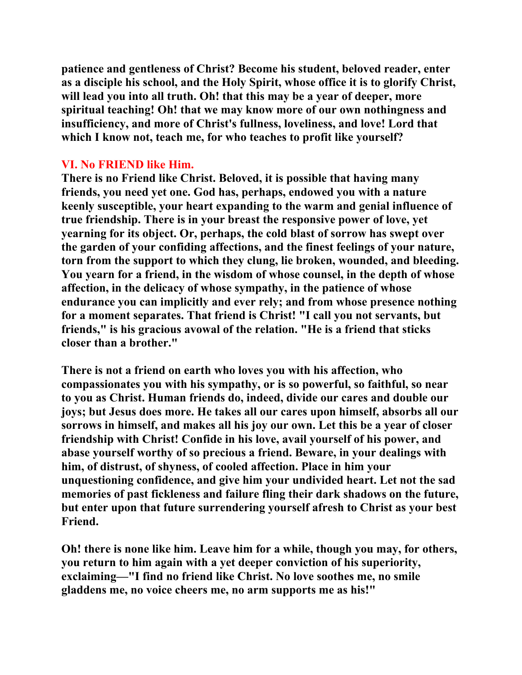**patience and gentleness of Christ? Become his student, beloved reader, enter as a disciple his school, and the Holy Spirit, whose office it is to glorify Christ, will lead you into all truth. Oh! that this may be a year of deeper, more spiritual teaching! Oh! that we may know more of our own nothingness and insufficiency, and more of Christ's fullness, loveliness, and love! Lord that which I know not, teach me, for who teaches to profit like yourself?** 

## **VI. No FRIEND like Him.**

**There is no Friend like Christ. Beloved, it is possible that having many friends, you need yet one. God has, perhaps, endowed you with a nature keenly susceptible, your heart expanding to the warm and genial influence of true friendship. There is in your breast the responsive power of love, yet yearning for its object. Or, perhaps, the cold blast of sorrow has swept over the garden of your confiding affections, and the finest feelings of your nature, torn from the support to which they clung, lie broken, wounded, and bleeding. You yearn for a friend, in the wisdom of whose counsel, in the depth of whose affection, in the delicacy of whose sympathy, in the patience of whose endurance you can implicitly and ever rely; and from whose presence nothing for a moment separates. That friend is Christ! "I call you not servants, but friends," is his gracious avowal of the relation. "He is a friend that sticks closer than a brother."** 

**There is not a friend on earth who loves you with his affection, who compassionates you with his sympathy, or is so powerful, so faithful, so near to you as Christ. Human friends do, indeed, divide our cares and double our joys; but Jesus does more. He takes all our cares upon himself, absorbs all our sorrows in himself, and makes all his joy our own. Let this be a year of closer friendship with Christ! Confide in his love, avail yourself of his power, and abase yourself worthy of so precious a friend. Beware, in your dealings with him, of distrust, of shyness, of cooled affection. Place in him your unquestioning confidence, and give him your undivided heart. Let not the sad memories of past fickleness and failure fling their dark shadows on the future, but enter upon that future surrendering yourself afresh to Christ as your best Friend.** 

**Oh! there is none like him. Leave him for a while, though you may, for others, you return to him again with a yet deeper conviction of his superiority, exclaiming—"I find no friend like Christ. No love soothes me, no smile gladdens me, no voice cheers me, no arm supports me as his!"**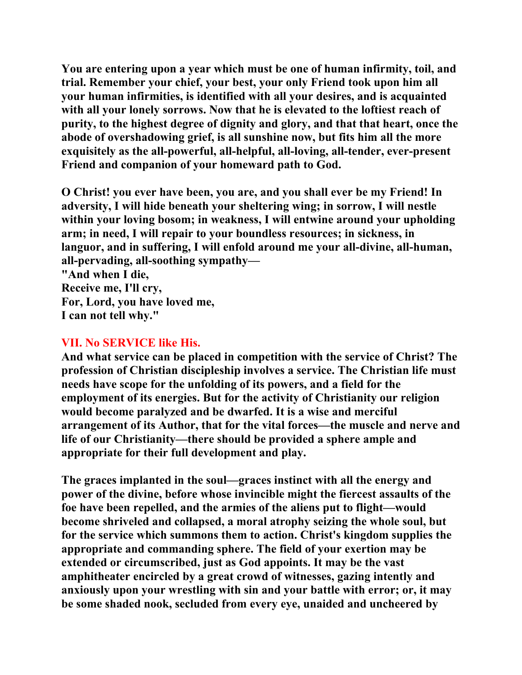**You are entering upon a year which must be one of human infirmity, toil, and trial. Remember your chief, your best, your only Friend took upon him all your human infirmities, is identified with all your desires, and is acquainted with all your lonely sorrows. Now that he is elevated to the loftiest reach of purity, to the highest degree of dignity and glory, and that that heart, once the abode of overshadowing grief, is all sunshine now, but fits him all the more exquisitely as the all-powerful, all-helpful, all-loving, all-tender, ever-present Friend and companion of your homeward path to God.** 

**O Christ! you ever have been, you are, and you shall ever be my Friend! In adversity, I will hide beneath your sheltering wing; in sorrow, I will nestle within your loving bosom; in weakness, I will entwine around your upholding arm; in need, I will repair to your boundless resources; in sickness, in languor, and in suffering, I will enfold around me your all-divine, all-human, all-pervading, all-soothing sympathy—** 

**"And when I die, Receive me, I'll cry, For, Lord, you have loved me, I can not tell why."** 

## **VII. No SERVICE like His.**

**And what service can be placed in competition with the service of Christ? The profession of Christian discipleship involves a service. The Christian life must needs have scope for the unfolding of its powers, and a field for the employment of its energies. But for the activity of Christianity our religion would become paralyzed and be dwarfed. It is a wise and merciful arrangement of its Author, that for the vital forces—the muscle and nerve and life of our Christianity—there should be provided a sphere ample and appropriate for their full development and play.** 

**The graces implanted in the soul—graces instinct with all the energy and power of the divine, before whose invincible might the fiercest assaults of the foe have been repelled, and the armies of the aliens put to flight—would become shriveled and collapsed, a moral atrophy seizing the whole soul, but for the service which summons them to action. Christ's kingdom supplies the appropriate and commanding sphere. The field of your exertion may be extended or circumscribed, just as God appoints. It may be the vast amphitheater encircled by a great crowd of witnesses, gazing intently and anxiously upon your wrestling with sin and your battle with error; or, it may be some shaded nook, secluded from every eye, unaided and uncheered by**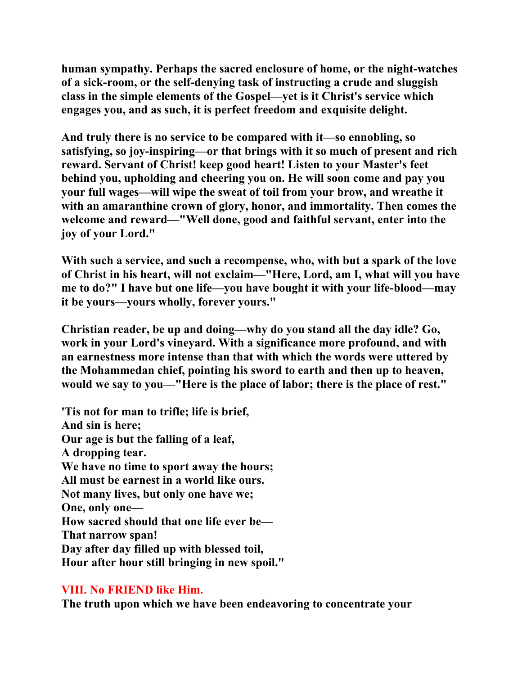**human sympathy. Perhaps the sacred enclosure of home, or the night-watches of a sick-room, or the self-denying task of instructing a crude and sluggish class in the simple elements of the Gospel—yet is it Christ's service which engages you, and as such, it is perfect freedom and exquisite delight.** 

**And truly there is no service to be compared with it—so ennobling, so satisfying, so joy-inspiring—or that brings with it so much of present and rich reward. Servant of Christ! keep good heart! Listen to your Master's feet behind you, upholding and cheering you on. He will soon come and pay you your full wages—will wipe the sweat of toil from your brow, and wreathe it with an amaranthine crown of glory, honor, and immortality. Then comes the welcome and reward—"Well done, good and faithful servant, enter into the joy of your Lord."** 

**With such a service, and such a recompense, who, with but a spark of the love of Christ in his heart, will not exclaim—"Here, Lord, am I, what will you have me to do?" I have but one life—you have bought it with your life-blood—may it be yours—yours wholly, forever yours."** 

**Christian reader, be up and doing—why do you stand all the day idle? Go, work in your Lord's vineyard. With a significance more profound, and with an earnestness more intense than that with which the words were uttered by the Mohammedan chief, pointing his sword to earth and then up to heaven, would we say to you—"Here is the place of labor; there is the place of rest."** 

**'Tis not for man to trifle; life is brief, And sin is here; Our age is but the falling of a leaf, A dropping tear. We have no time to sport away the hours; All must be earnest in a world like ours. Not many lives, but only one have we; One, only one— How sacred should that one life ever be— That narrow span! Day after day filled up with blessed toil, Hour after hour still bringing in new spoil."** 

## **VIII. No FRIEND like Him.**

**The truth upon which we have been endeavoring to concentrate your**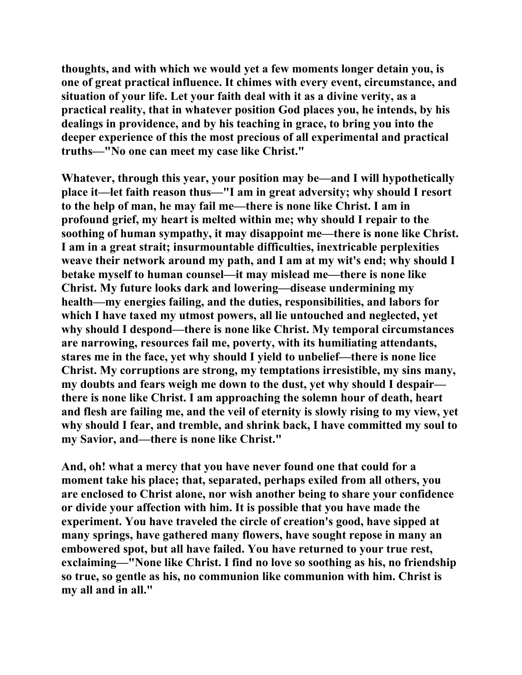**thoughts, and with which we would yet a few moments longer detain you, is one of great practical influence. It chimes with every event, circumstance, and situation of your life. Let your faith deal with it as a divine verity, as a practical reality, that in whatever position God places you, he intends, by his dealings in providence, and by his teaching in grace, to bring you into the deeper experience of this the most precious of all experimental and practical truths—"No one can meet my case like Christ."** 

**Whatever, through this year, your position may be—and I will hypothetically place it—let faith reason thus—"I am in great adversity; why should I resort to the help of man, he may fail me—there is none like Christ. I am in profound grief, my heart is melted within me; why should I repair to the soothing of human sympathy, it may disappoint me—there is none like Christ. I am in a great strait; insurmountable difficulties, inextricable perplexities weave their network around my path, and I am at my wit's end; why should I betake myself to human counsel—it may mislead me—there is none like Christ. My future looks dark and lowering—disease undermining my health—my energies failing, and the duties, responsibilities, and labors for which I have taxed my utmost powers, all lie untouched and neglected, yet why should I despond—there is none like Christ. My temporal circumstances are narrowing, resources fail me, poverty, with its humiliating attendants, stares me in the face, yet why should I yield to unbelief—there is none lice Christ. My corruptions are strong, my temptations irresistible, my sins many, my doubts and fears weigh me down to the dust, yet why should I despair there is none like Christ. I am approaching the solemn hour of death, heart and flesh are failing me, and the veil of eternity is slowly rising to my view, yet why should I fear, and tremble, and shrink back, I have committed my soul to my Savior, and—there is none like Christ."** 

**And, oh! what a mercy that you have never found one that could for a moment take his place; that, separated, perhaps exiled from all others, you are enclosed to Christ alone, nor wish another being to share your confidence or divide your affection with him. It is possible that you have made the experiment. You have traveled the circle of creation's good, have sipped at many springs, have gathered many flowers, have sought repose in many an embowered spot, but all have failed. You have returned to your true rest, exclaiming—"None like Christ. I find no love so soothing as his, no friendship so true, so gentle as his, no communion like communion with him. Christ is my all and in all."**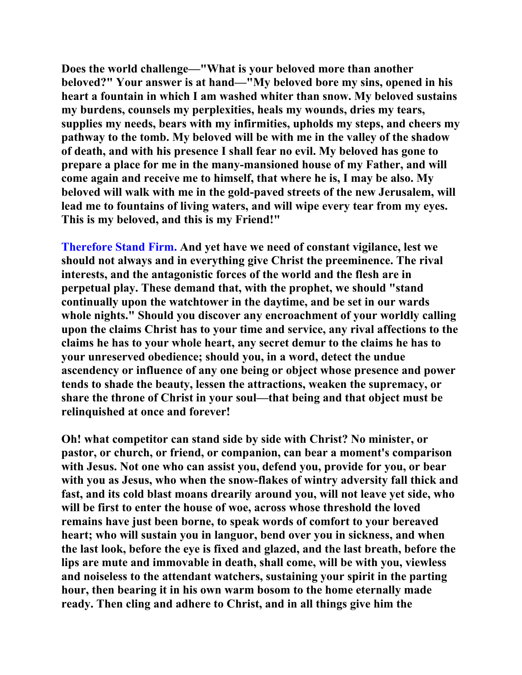**Does the world challenge—"What is your beloved more than another beloved?" Your answer is at hand—"My beloved bore my sins, opened in his heart a fountain in which I am washed whiter than snow. My beloved sustains my burdens, counsels my perplexities, heals my wounds, dries my tears, supplies my needs, bears with my infirmities, upholds my steps, and cheers my pathway to the tomb. My beloved will be with me in the valley of the shadow of death, and with his presence I shall fear no evil. My beloved has gone to prepare a place for me in the many-mansioned house of my Father, and will come again and receive me to himself, that where he is, I may be also. My beloved will walk with me in the gold-paved streets of the new Jerusalem, will lead me to fountains of living waters, and will wipe every tear from my eyes. This is my beloved, and this is my Friend!"** 

**Therefore Stand Firm. And yet have we need of constant vigilance, lest we should not always and in everything give Christ the preeminence. The rival interests, and the antagonistic forces of the world and the flesh are in perpetual play. These demand that, with the prophet, we should "stand continually upon the watchtower in the daytime, and be set in our wards whole nights." Should you discover any encroachment of your worldly calling upon the claims Christ has to your time and service, any rival affections to the claims he has to your whole heart, any secret demur to the claims he has to your unreserved obedience; should you, in a word, detect the undue ascendency or influence of any one being or object whose presence and power tends to shade the beauty, lessen the attractions, weaken the supremacy, or share the throne of Christ in your soul—that being and that object must be relinquished at once and forever!** 

**Oh! what competitor can stand side by side with Christ? No minister, or pastor, or church, or friend, or companion, can bear a moment's comparison with Jesus. Not one who can assist you, defend you, provide for you, or bear with you as Jesus, who when the snow-flakes of wintry adversity fall thick and fast, and its cold blast moans drearily around you, will not leave yet side, who will be first to enter the house of woe, across whose threshold the loved remains have just been borne, to speak words of comfort to your bereaved heart; who will sustain you in languor, bend over you in sickness, and when the last look, before the eye is fixed and glazed, and the last breath, before the lips are mute and immovable in death, shall come, will be with you, viewless and noiseless to the attendant watchers, sustaining your spirit in the parting hour, then bearing it in his own warm bosom to the home eternally made ready. Then cling and adhere to Christ, and in all things give him the**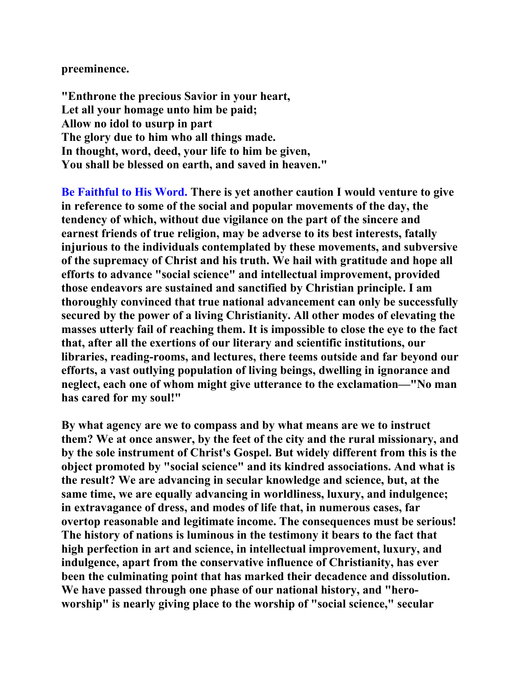**preeminence.** 

**"Enthrone the precious Savior in your heart, Let all your homage unto him be paid; Allow no idol to usurp in part The glory due to him who all things made. In thought, word, deed, your life to him be given, You shall be blessed on earth, and saved in heaven."** 

**Be Faithful to His Word. There is yet another caution I would venture to give in reference to some of the social and popular movements of the day, the tendency of which, without due vigilance on the part of the sincere and earnest friends of true religion, may be adverse to its best interests, fatally injurious to the individuals contemplated by these movements, and subversive of the supremacy of Christ and his truth. We hail with gratitude and hope all efforts to advance "social science" and intellectual improvement, provided those endeavors are sustained and sanctified by Christian principle. I am thoroughly convinced that true national advancement can only be successfully secured by the power of a living Christianity. All other modes of elevating the masses utterly fail of reaching them. It is impossible to close the eye to the fact that, after all the exertions of our literary and scientific institutions, our libraries, reading-rooms, and lectures, there teems outside and far beyond our efforts, a vast outlying population of living beings, dwelling in ignorance and neglect, each one of whom might give utterance to the exclamation—"No man has cared for my soul!"** 

**By what agency are we to compass and by what means are we to instruct them? We at once answer, by the feet of the city and the rural missionary, and by the sole instrument of Christ's Gospel. But widely different from this is the object promoted by "social science" and its kindred associations. And what is the result? We are advancing in secular knowledge and science, but, at the same time, we are equally advancing in worldliness, luxury, and indulgence; in extravagance of dress, and modes of life that, in numerous cases, far overtop reasonable and legitimate income. The consequences must be serious! The history of nations is luminous in the testimony it bears to the fact that high perfection in art and science, in intellectual improvement, luxury, and indulgence, apart from the conservative influence of Christianity, has ever been the culminating point that has marked their decadence and dissolution. We have passed through one phase of our national history, and "heroworship" is nearly giving place to the worship of "social science," secular**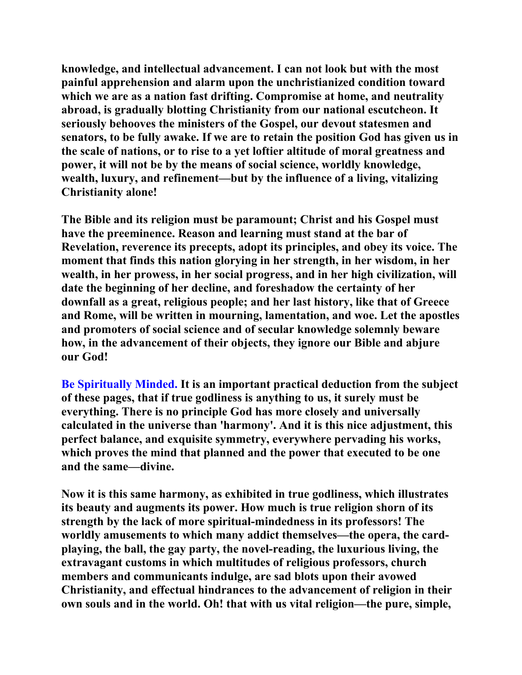**knowledge, and intellectual advancement. I can not look but with the most painful apprehension and alarm upon the unchristianized condition toward which we are as a nation fast drifting. Compromise at home, and neutrality abroad, is gradually blotting Christianity from our national escutcheon. It seriously behooves the ministers of the Gospel, our devout statesmen and senators, to be fully awake. If we are to retain the position God has given us in the scale of nations, or to rise to a yet loftier altitude of moral greatness and power, it will not be by the means of social science, worldly knowledge, wealth, luxury, and refinement—but by the influence of a living, vitalizing Christianity alone!** 

**The Bible and its religion must be paramount; Christ and his Gospel must have the preeminence. Reason and learning must stand at the bar of Revelation, reverence its precepts, adopt its principles, and obey its voice. The moment that finds this nation glorying in her strength, in her wisdom, in her wealth, in her prowess, in her social progress, and in her high civilization, will date the beginning of her decline, and foreshadow the certainty of her downfall as a great, religious people; and her last history, like that of Greece and Rome, will be written in mourning, lamentation, and woe. Let the apostles and promoters of social science and of secular knowledge solemnly beware how, in the advancement of their objects, they ignore our Bible and abjure our God!** 

**Be Spiritually Minded. It is an important practical deduction from the subject of these pages, that if true godliness is anything to us, it surely must be everything. There is no principle God has more closely and universally calculated in the universe than 'harmony'. And it is this nice adjustment, this perfect balance, and exquisite symmetry, everywhere pervading his works, which proves the mind that planned and the power that executed to be one and the same—divine.** 

**Now it is this same harmony, as exhibited in true godliness, which illustrates its beauty and augments its power. How much is true religion shorn of its strength by the lack of more spiritual-mindedness in its professors! The worldly amusements to which many addict themselves—the opera, the cardplaying, the ball, the gay party, the novel-reading, the luxurious living, the extravagant customs in which multitudes of religious professors, church members and communicants indulge, are sad blots upon their avowed Christianity, and effectual hindrances to the advancement of religion in their own souls and in the world. Oh! that with us vital religion—the pure, simple,**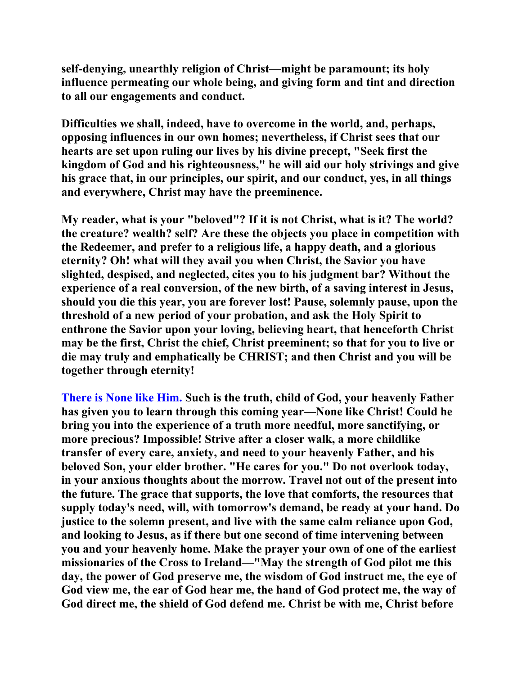**self-denying, unearthly religion of Christ—might be paramount; its holy influence permeating our whole being, and giving form and tint and direction to all our engagements and conduct.** 

**Difficulties we shall, indeed, have to overcome in the world, and, perhaps, opposing influences in our own homes; nevertheless, if Christ sees that our hearts are set upon ruling our lives by his divine precept, "Seek first the kingdom of God and his righteousness," he will aid our holy strivings and give his grace that, in our principles, our spirit, and our conduct, yes, in all things and everywhere, Christ may have the preeminence.** 

**My reader, what is your "beloved"? If it is not Christ, what is it? The world? the creature? wealth? self? Are these the objects you place in competition with the Redeemer, and prefer to a religious life, a happy death, and a glorious eternity? Oh! what will they avail you when Christ, the Savior you have slighted, despised, and neglected, cites you to his judgment bar? Without the experience of a real conversion, of the new birth, of a saving interest in Jesus, should you die this year, you are forever lost! Pause, solemnly pause, upon the threshold of a new period of your probation, and ask the Holy Spirit to enthrone the Savior upon your loving, believing heart, that henceforth Christ may be the first, Christ the chief, Christ preeminent; so that for you to live or die may truly and emphatically be CHRIST; and then Christ and you will be together through eternity!** 

**There is None like Him. Such is the truth, child of God, your heavenly Father has given you to learn through this coming year—None like Christ! Could he bring you into the experience of a truth more needful, more sanctifying, or more precious? Impossible! Strive after a closer walk, a more childlike transfer of every care, anxiety, and need to your heavenly Father, and his beloved Son, your elder brother. "He cares for you." Do not overlook today, in your anxious thoughts about the morrow. Travel not out of the present into the future. The grace that supports, the love that comforts, the resources that supply today's need, will, with tomorrow's demand, be ready at your hand. Do justice to the solemn present, and live with the same calm reliance upon God, and looking to Jesus, as if there but one second of time intervening between you and your heavenly home. Make the prayer your own of one of the earliest missionaries of the Cross to Ireland—"May the strength of God pilot me this day, the power of God preserve me, the wisdom of God instruct me, the eye of God view me, the ear of God hear me, the hand of God protect me, the way of God direct me, the shield of God defend me. Christ be with me, Christ before**